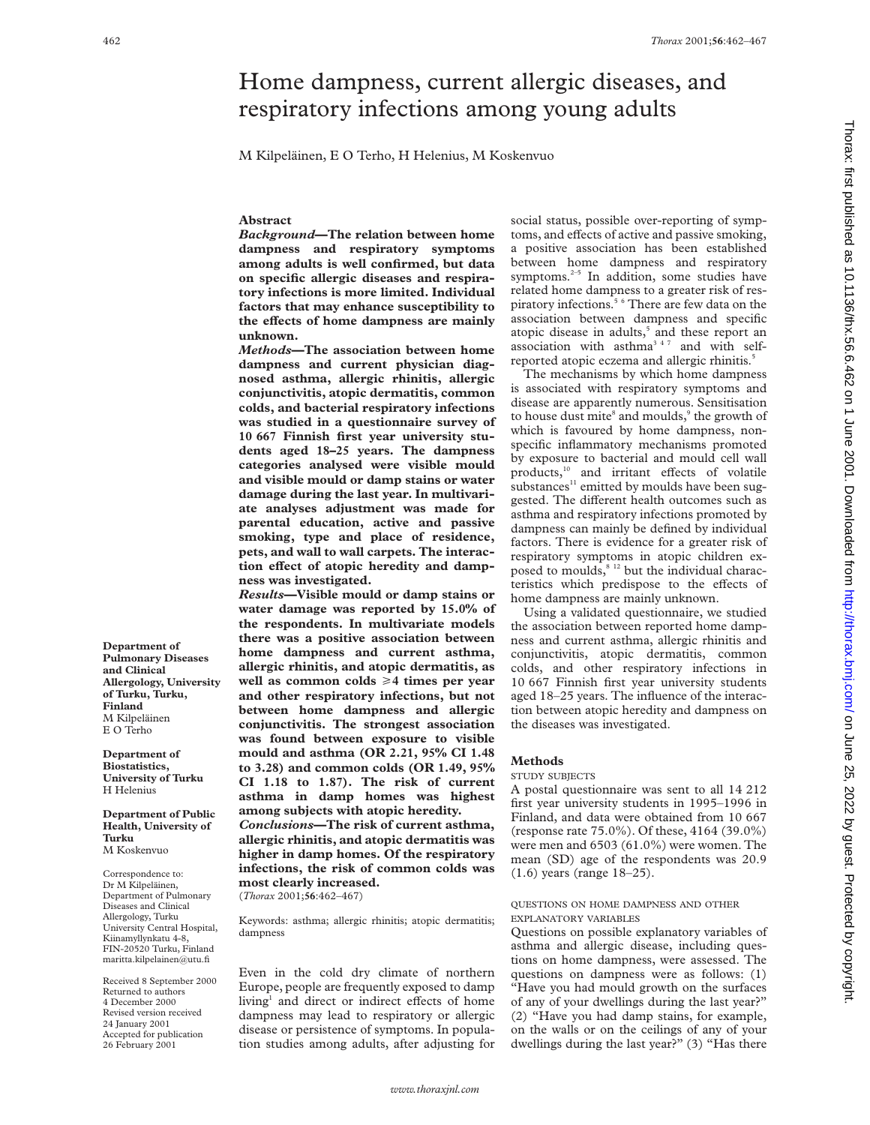# Home dampness, current allergic diseases, and respiratory infections among young adults

M Kilpeläinen, E O Terho, H Helenius, M Koskenvuo

## **Abstract**

*Background***—The relation between home dampness and respiratory symptoms among adults is well confirmed, but data on specific allergic diseases and respiratory infections is more limited. Individual factors that may enhance susceptibility to** the effects of home dampness are mainly **unknown.**

*Methods***—The association between home dampness and current physician diagnosed asthma, allergic rhinitis, allergic conjunctivitis, atopic dermatitis, common colds, and bacterial respiratory infections was studied in a questionnaire survey of 10 667 Finnish first year university students aged 18–25 years. The dampness categories analysed were visible mould and visible mould or damp stains or water damage during the last year. In multivariate analyses adjustment was made for parental education, active and passive smoking, type and place of residence, pets, and wall to wall carpets. The interac**tion effect of atopic heredity and damp**ness was investigated.**

*Results***—Visible mould or damp stains or water damage was reported by 15.0% of the respondents. In multivariate models there was a positive association between home dampness and current asthma, allergic rhinitis, and atopic dermatitis, as** well as common colds  $\geq 4$  times per year **and other respiratory infections, but not between home dampness and allergic conjunctivitis. The strongest association was found between exposure to visible mould and asthma (OR 2.21, 95% CI 1.48 to 3.28) and common colds (OR 1.49, 95% CI 1.18 to 1.87). The risk of current asthma in damp homes was highest among subjects with atopic heredity.** *Conclusions***—The risk of current asthma, allergic rhinitis, and atopic dermatitis was higher in damp homes. Of the respiratory infections, the risk of common colds was most clearly increased.** (*Thorax* 2001;**56**:462–467)

Keywords: asthma; allergic rhinitis; atopic dermatitis; dampness

Even in the cold dry climate of northern Europe, people are frequently exposed to damp living<sup>1</sup> and direct or indirect effects of home dampness may lead to respiratory or allergic disease or persistence of symptoms. In population studies among adults, after adjusting for social status, possible over-reporting of symptoms, and effects of active and passive smoking, a positive association has been established between home dampness and respiratory symptoms.<sup>2-5</sup> In addition, some studies have related home dampness to a greater risk of respiratory infections.<sup>5 6</sup> There are few data on the association between dampness and specific atopic disease in adults,<sup>5</sup> and these report an association with asthma<sup>347</sup> and with selfreported atopic eczema and allergic rhinitis.<sup>5</sup>

The mechanisms by which home dampness is associated with respiratory symptoms and disease are apparently numerous. Sensitisation to house dust mite<sup>8</sup> and moulds, $\frac{9}{3}$  the growth of which is favoured by home dampness, nonspecific inflammatory mechanisms promoted by exposure to bacterial and mould cell wall products,<sup>10</sup> and irritant effects of volatile substances<sup>11</sup> emitted by moulds have been suggested. The different health outcomes such as asthma and respiratory infections promoted by dampness can mainly be defined by individual factors. There is evidence for a greater risk of respiratory symptoms in atopic children exposed to moulds,<sup>8 12</sup> but the individual characteristics which predispose to the effects of home dampness are mainly unknown.

Using a validated questionnaire, we studied the association between reported home dampness and current asthma, allergic rhinitis and conjunctivitis, atopic dermatitis, common colds, and other respiratory infections in 10 667 Finnish first year university students aged 18–25 years. The influence of the interaction between atopic heredity and dampness on the diseases was investigated.

## **Methods**

#### STUDY SUBJECTS

A postal questionnaire was sent to all 14 212 first year university students in 1995–1996 in Finland, and data were obtained from 10 667 (response rate 75.0%). Of these, 4164 (39.0%) were men and 6503 (61.0%) were women. The mean (SD) age of the respondents was 20.9 (1.6) years (range 18–25).

## QUESTIONS ON HOME DAMPNESS AND OTHER EXPLANATORY VARIABLES

Questions on possible explanatory variables of asthma and allergic disease, including questions on home dampness, were assessed. The questions on dampness were as follows: (1) "Have you had mould growth on the surfaces of any of your dwellings during the last year?" (2) "Have you had damp stains, for example, on the walls or on the ceilings of any of your dwellings during the last year?" (3) "Has there

**Department of Pulmonary Diseases and Clinical Allergology, University of Turku, Turku, Finland** M Kilpeläinen E O Terho

**Department of Biostatistics, University of Turku** H Helenius

**Department of Public Health, University of Turku** M Koskenvuo

Correspondence to: Dr M Kilpeläinen, Department of Pulmonary Diseases and Clinical Allergology, Turku University Central Hospital, Kiinamyllynkatu 4-8, FIN-20520 Turku, Finland maritta.kilpelainen@utu.fi

Received 8 September 2000 Returned to authors 4 December 2000 Revised version received 24 January 2001 Accepted for publication 26 February 2001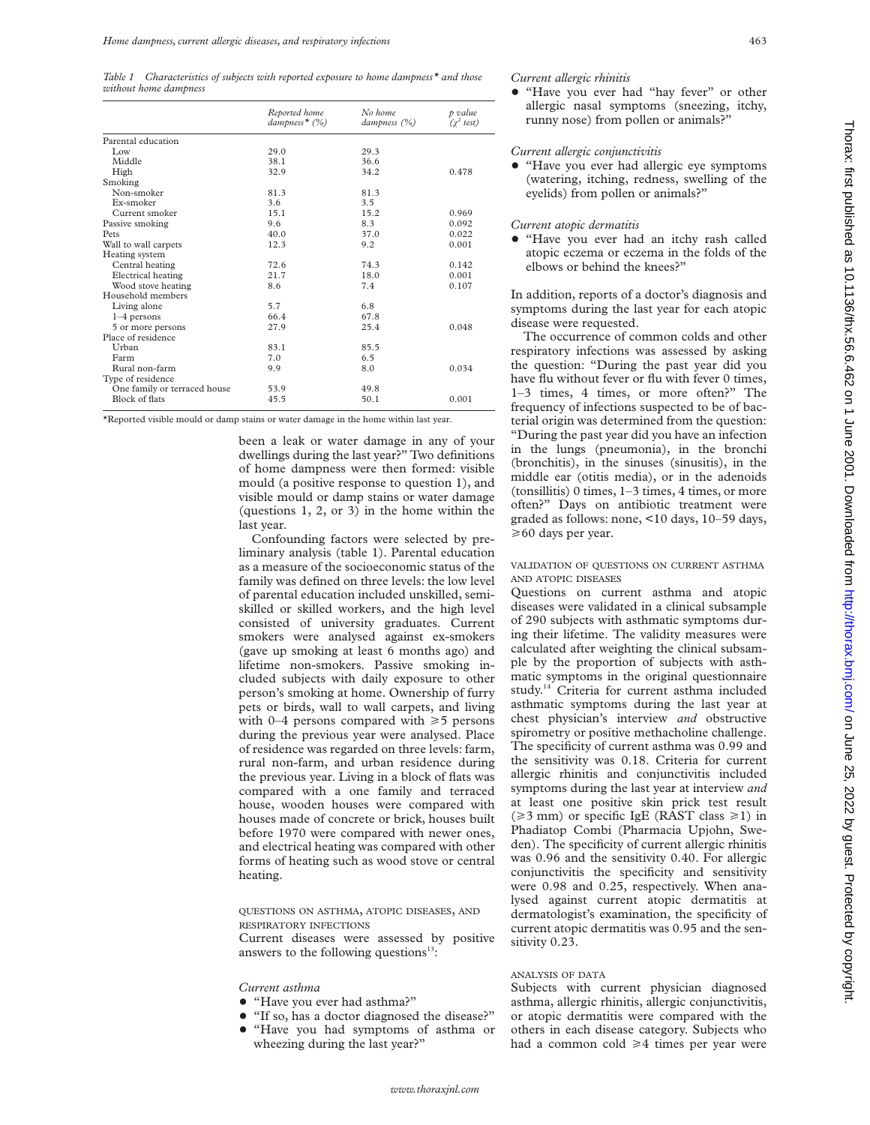*Table 1 Characteristics of subjects with reported exposure to home dampness\* and those without home dampness*

|                              | Reported home<br>$dampness*(\%)$ | No home<br>dampness $(\%)$ | p value<br>$(\chi^2$ test) |
|------------------------------|----------------------------------|----------------------------|----------------------------|
| Parental education           |                                  |                            |                            |
| Low                          | 29.0                             | 29.3                       |                            |
| Middle                       | 38.1                             | 36.6                       |                            |
| High                         | 32.9                             | 34.2                       | 0.478                      |
| Smoking                      |                                  |                            |                            |
| Non-smoker                   | 81.3                             | 81.3                       |                            |
| Ex-smoker                    | 3.6                              | 3.5                        |                            |
| Current smoker               | 15.1                             | 15.2                       | 0.969                      |
| Passive smoking              | 9.6                              | 8.3                        | 0.092                      |
| Pets                         | 40.0                             | 37.0                       | 0.022                      |
| Wall to wall carpets         | 12.3                             | 9.2                        | 0.001                      |
| Heating system               |                                  |                            |                            |
| Central heating              | 72.6                             | 74.3                       | 0.142                      |
| Electrical heating           | 21.7                             | 18.0                       | 0.001                      |
| Wood stove heating           | 8.6                              | 7.4                        | 0.107                      |
| Household members            |                                  |                            |                            |
| Living alone                 | 5.7                              | 6.8                        |                            |
| $1-4$ persons                | 66.4                             | 67.8                       |                            |
| 5 or more persons            | 27.9                             | 25.4                       | 0.048                      |
| Place of residence           |                                  |                            |                            |
| Urban                        | 83.1                             | 85.5                       |                            |
| Farm                         | 7.0                              | 6.5                        |                            |
| Rural non-farm               | 9.9                              | 8.0                        | 0.034                      |
| Type of residence            |                                  |                            |                            |
| One family or terraced house | 53.9                             | 49.8                       |                            |
| Block of flats               | 45.5                             | 50.1                       | 0.001                      |

\*Reported visible mould or damp stains or water damage in the home within last year.

been a leak or water damage in any of your dwellings during the last year?" Two definitions of home dampness were then formed: visible mould (a positive response to question 1), and visible mould or damp stains or water damage (questions 1, 2, or 3) in the home within the last year.

Confounding factors were selected by preliminary analysis (table 1). Parental education as a measure of the socioeconomic status of the family was defined on three levels: the low level of parental education included unskilled, semiskilled or skilled workers, and the high level consisted of university graduates. Current smokers were analysed against ex-smokers (gave up smoking at least 6 months ago) and lifetime non-smokers. Passive smoking included subjects with daily exposure to other person's smoking at home. Ownership of furry pets or birds, wall to wall carpets, and living with 0–4 persons compared with  $\geq 5$  persons during the previous year were analysed. Place of residence was regarded on three levels: farm, rural non-farm, and urban residence during the previous year. Living in a block of flats was compared with a one family and terraced house, wooden houses were compared with houses made of concrete or brick, houses built before 1970 were compared with newer ones, and electrical heating was compared with other forms of heating such as wood stove or central heating.

QUESTIONS ON ASTHMA, ATOPIC DISEASES, AND RESPIRATORY INFECTIONS

Current diseases were assessed by positive answers to the following questions $13$ :

#### *Current asthma*

- + "Have you ever had asthma?"
- "If so, has a doctor diagnosed the disease?"
- + "Have you had symptoms of asthma or wheezing during the last year?"

#### *Current allergic rhinitis*

+ "Have you ever had "hay fever" or other allergic nasal symptoms (sneezing, itchy, runny nose) from pollen or animals?"

*Current allergic conjunctivitis*

• "Have you ever had allergic eye symptoms (watering, itching, redness, swelling of the eyelids) from pollen or animals?"

# *Current atopic dermatitis*

• "Have you ever had an itchy rash called atopic eczema or eczema in the folds of the elbows or behind the knees?"

In addition, reports of a doctor's diagnosis and symptoms during the last year for each atopic disease were requested.

The occurrence of common colds and other respiratory infections was assessed by asking the question: "During the past year did you have flu without fever or flu with fever 0 times, 1–3 times, 4 times, or more often?" The frequency of infections suspected to be of bacterial origin was determined from the question: "During the past year did you have an infection in the lungs (pneumonia), in the bronchi (bronchitis), in the sinuses (sinusitis), in the middle ear (otitis media), or in the adenoids  $(t$ onsillitis) 0 times,  $1-3$  times, 4 times, or more often?" Days on antibiotic treatment were graded as follows: none, <10 days, 10–59 days, >60 days per year.

VALIDATION OF QUESTIONS ON CURRENT ASTHMA AND ATOPIC DISEASES

Questions on current asthma and atopic diseases were validated in a clinical subsample of 290 subjects with asthmatic symptoms during their lifetime. The validity measures were calculated after weighting the clinical subsample by the proportion of subjects with asthmatic symptoms in the original questionnaire study.14 Criteria for current asthma included asthmatic symptoms during the last year at chest physician's interview *and* obstructive spirometry or positive methacholine challenge. The specificity of current asthma was 0.99 and the sensitivity was 0.18. Criteria for current allergic rhinitis and conjunctivitis included symptoms during the last year at interview *and* at least one positive skin prick test result  $(\geq 3$  mm) or specific IgE (RAST class  $\geq 1$ ) in Phadiatop Combi (Pharmacia Upjohn, Sweden). The specificity of current allergic rhinitis was 0.96 and the sensitivity 0.40. For allergic conjunctivitis the specificity and sensitivity were 0.98 and 0.25, respectively. When analysed against current atopic dermatitis at dermatologist's examination, the specificity of current atopic dermatitis was 0.95 and the sensitivity 0.23.

# ANALYSIS OF DATA

Subjects with current physician diagnosed asthma, allergic rhinitis, allergic conjunctivitis, or atopic dermatitis were compared with the others in each disease category. Subjects who had a common cold  $\geq 4$  times per year were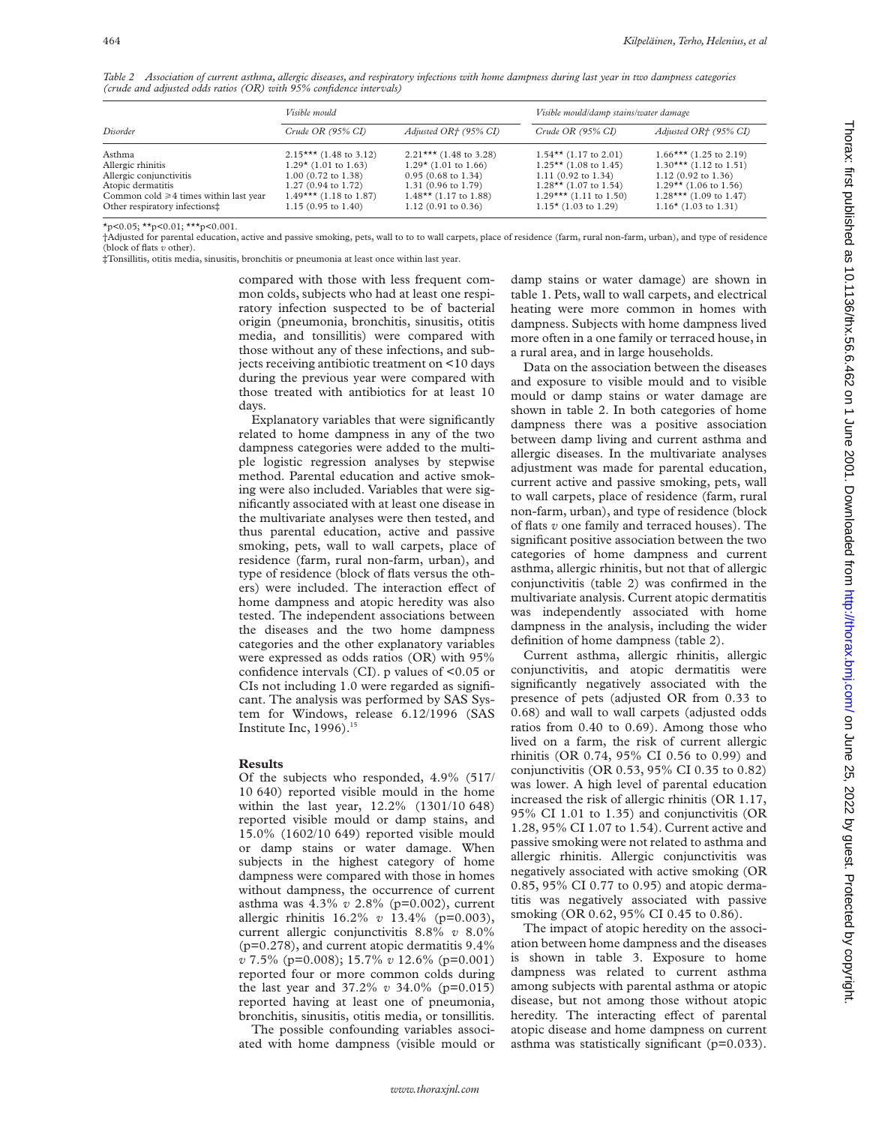*Table 2 Association of current asthma, allergic diseases, and respiratory infections with home dampness during last year in two dampness categories (crude and adjusted odds ratios (OR) with 95% confidence intervals)*

|                                                                                                                                                             | Visible mould                                                                                                                                                             |                                                                                                                                                                                | Visible mould/damp stains/water damage                                                                                                                                      |                                                                                                                                                                              |  |
|-------------------------------------------------------------------------------------------------------------------------------------------------------------|---------------------------------------------------------------------------------------------------------------------------------------------------------------------------|--------------------------------------------------------------------------------------------------------------------------------------------------------------------------------|-----------------------------------------------------------------------------------------------------------------------------------------------------------------------------|------------------------------------------------------------------------------------------------------------------------------------------------------------------------------|--|
| Disorder                                                                                                                                                    | Crude OR (95% CI)                                                                                                                                                         | Adjusted OR† (95% CI)                                                                                                                                                          | Crude OR (95% CI)                                                                                                                                                           | Adjusted OR† (95% CI)                                                                                                                                                        |  |
| Asthma<br>Allergic rhinitis<br>Allergic conjunctivitis<br>Atopic dermatitis<br>Common cold $\geq 4$ times within last year<br>Other respiratory infections: | $2.15***$ (1.48 to 3.12)<br>$1.29*$ (1.01 to 1.63)<br>$1.00$ (0.72 to 1.38)<br>$1.27(0.94 \text{ to } 1.72)$<br>$1.49***$ (1.18 to 1.87)<br>$1.15(0.95 \text{ to } 1.40)$ | $2.21***$ (1.48 to 3.28)<br>$1.29*(1.01 \text{ to } 1.66)$<br>$0.95(0.68 \text{ to } 1.34)$<br>1.31 (0.96 to 1.79)<br>$1.48**$ (1.17 to 1.88)<br>$1.12(0.91 \text{ to } 0.36)$ | $1.54**$ (1.17 to 2.01)<br>$1.25**$ (1.08 to 1.45)<br>$1.11$ (0.92 to 1.34)<br>$1.28**$ (1.07 to 1.54)<br>$1.29***$ (1.11 to 1.50)<br>$1.15 \times (1.03 \text{ to } 1.29)$ | $1.66***$ (1.25 to 2.19)<br>$1.30***$ (1.12 to 1.51)<br>$1.12$ (0.92 to 1.36)<br>$1.29**$ (1.06 to 1.56)<br>$1.28***$ (1.09 to 1.47)<br>$1.16 \star (1.03 \text{ to } 1.31)$ |  |

 $*_{p<0.05}$ ;  $*_{p<0.01}$ ;  $*_{p<0.001}$ .

†Adjusted for parental education, active and passive smoking, pets, wall to to to wall carpets, place of residence (farm, rural non-farm, urban), and type of residence (block of flats *v* other).

‡Tonsillitis, otitis media, sinusitis, bronchitis or pneumonia at least once within last year.

compared with those with less frequent common colds, subjects who had at least one respiratory infection suspected to be of bacterial origin (pneumonia, bronchitis, sinusitis, otitis media, and tonsillitis) were compared with those without any of these infections, and subjects receiving antibiotic treatment on <10 days during the previous year were compared with those treated with antibiotics for at least 10 days.

Explanatory variables that were significantly related to home dampness in any of the two dampness categories were added to the multiple logistic regression analyses by stepwise method. Parental education and active smoking were also included. Variables that were significantly associated with at least one disease in the multivariate analyses were then tested, and thus parental education, active and passive smoking, pets, wall to wall carpets, place of residence (farm, rural non-farm, urban), and type of residence (block of flats versus the others) were included. The interaction effect of home dampness and atopic heredity was also tested. The independent associations between the diseases and the two home dampness categories and the other explanatory variables were expressed as odds ratios (OR) with 95% confidence intervals (CI). p values of <0.05 or CIs not including 1.0 were regarded as significant. The analysis was performed by SAS System for Windows, release 6.12/1996 (SAS Institute Inc,  $1996$ .

#### **Results**

Of the subjects who responded, 4.9% (517/ 10 640) reported visible mould in the home within the last year, 12.2% (1301/10 648) reported visible mould or damp stains, and 15.0% (1602/10 649) reported visible mould or damp stains or water damage. When subjects in the highest category of home dampness were compared with those in homes without dampness, the occurrence of current asthma was 4.3% *v* 2.8% (p=0.002), current allergic rhinitis 16.2% *v* 13.4% (p=0.003), current allergic conjunctivitis 8.8% *v* 8.0% (p=0.278), and current atopic dermatitis 9.4% *v* 7.5% (p=0.008); 15.7% *v* 12.6% (p=0.001) reported four or more common colds during the last year and 37.2% *v* 34.0% (p=0.015) reported having at least one of pneumonia, bronchitis, sinusitis, otitis media, or tonsillitis.

The possible confounding variables associated with home dampness (visible mould or damp stains or water damage) are shown in table 1. Pets, wall to wall carpets, and electrical heating were more common in homes with dampness. Subjects with home dampness lived more often in a one family or terraced house, in a rural area, and in large households.

Data on the association between the diseases and exposure to visible mould and to visible mould or damp stains or water damage are shown in table 2. In both categories of home dampness there was a positive association between damp living and current asthma and allergic diseases. In the multivariate analyses adjustment was made for parental education, current active and passive smoking, pets, wall to wall carpets, place of residence (farm, rural non-farm, urban), and type of residence (block of flats *v* one family and terraced houses). The significant positive association between the two categories of home dampness and current asthma, allergic rhinitis, but not that of allergic conjunctivitis (table 2) was confirmed in the multivariate analysis. Current atopic dermatitis was independently associated with home dampness in the analysis, including the wider definition of home dampness (table 2).

Current asthma, allergic rhinitis, allergic conjunctivitis, and atopic dermatitis were significantly negatively associated with the presence of pets (adjusted OR from 0.33 to 0.68) and wall to wall carpets (adjusted odds ratios from 0.40 to 0.69). Among those who lived on a farm, the risk of current allergic rhinitis (OR 0.74, 95% CI 0.56 to 0.99) and conjunctivitis (OR 0.53, 95% CI 0.35 to 0.82) was lower. A high level of parental education increased the risk of allergic rhinitis (OR 1.17, 95% CI 1.01 to 1.35) and conjunctivitis (OR 1.28, 95% CI 1.07 to 1.54). Current active and passive smoking were not related to asthma and allergic rhinitis. Allergic conjunctivitis was negatively associated with active smoking (OR 0.85, 95% CI 0.77 to 0.95) and atopic dermatitis was negatively associated with passive smoking (OR 0.62, 95% CI 0.45 to 0.86).

The impact of atopic heredity on the association between home dampness and the diseases is shown in table 3. Exposure to home dampness was related to current asthma among subjects with parental asthma or atopic disease, but not among those without atopic heredity. The interacting effect of parental atopic disease and home dampness on current asthma was statistically significant (p=0.033).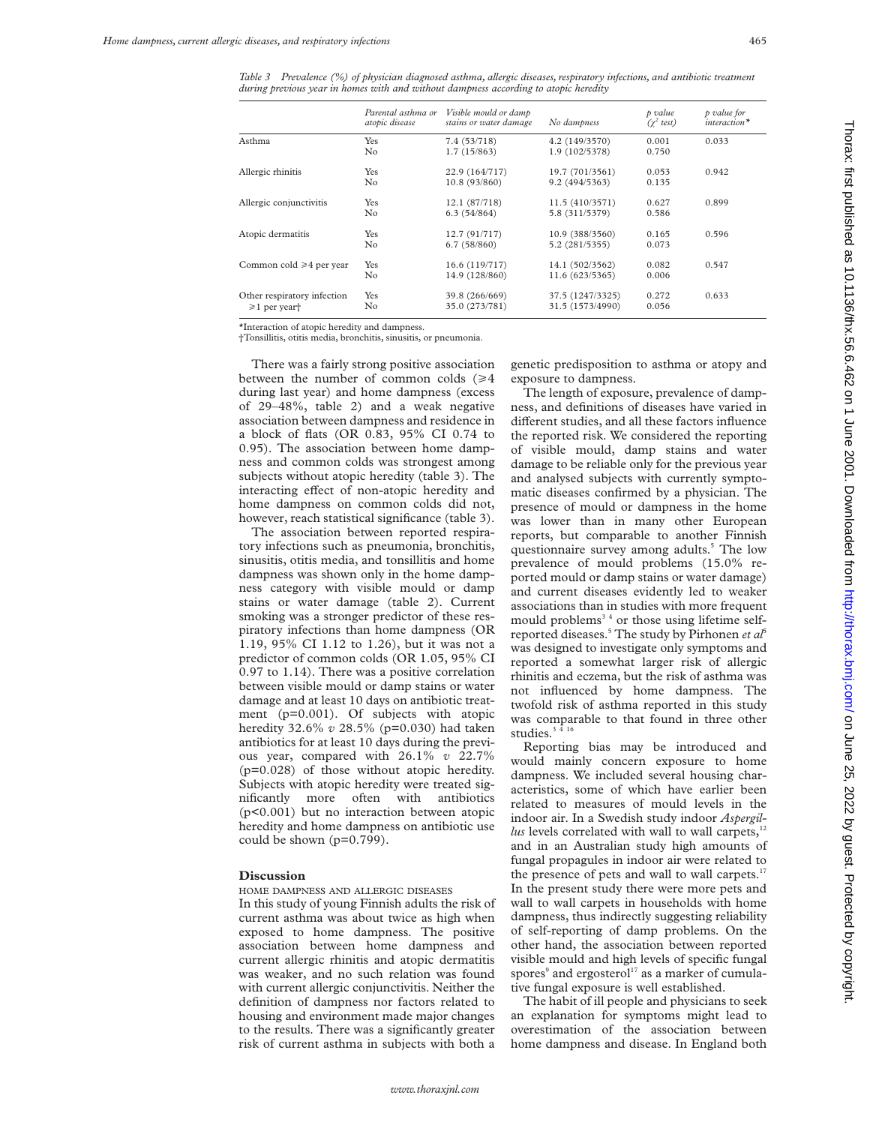*Table 3 Prevalence (%) of physician diagnosed asthma, allergic diseases, respiratory infections, and antibiotic treatment during previous year in homes with and without dampness according to atopic heredity*

|                                                               | Parental asthma or<br>atopic disease | Visible mould or damp<br>stains or water damage | No dampness                          | p value<br>$(\gamma^2$ test) | p value for<br>$interaction*$ |
|---------------------------------------------------------------|--------------------------------------|-------------------------------------------------|--------------------------------------|------------------------------|-------------------------------|
| Asthma                                                        | Yes<br>N0                            | 7.4(53/718)<br>1.7(15/863)                      | 4.2 (149/3570)<br>1.9 (102/5378)     | 0.001<br>0.750               | 0.033                         |
| Allergic rhinitis                                             | Yes<br>N0                            | 22.9 (164/717)<br>10.8 (93/860)                 | 19.7 (701/3561)<br>9.2 (494/5363)    | 0.053<br>0.135               | 0.942                         |
| Allergic conjunctivitis                                       | Yes<br>N0                            | 12.1 (87/718)<br>6.3(54/864)                    | 11.5(410/3571)<br>5.8 (311/5379)     | 0.627<br>0.586               | 0.899                         |
| Atopic dermatitis                                             | Yes<br>N0                            | 12.7(91/717)<br>6.7(58/860)                     | 10.9 (388/3560)<br>5.2 (281/5355)    | 0.165<br>0.073               | 0.596                         |
| Common cold $\geq 4$ per year                                 | Yes<br>N0                            | 16.6 (119/717)<br>14.9 (128/860)                | 14.1 (502/3562)<br>11.6(623/5365)    | 0.082<br>0.006               | 0.547                         |
| Other respiratory infection<br>$\geq 1$ per year <sup>1</sup> | Yes<br>No                            | 39.8 (266/669)<br>35.0 (273/781)                | 37.5 (1247/3325)<br>31.5 (1573/4990) | 0.272<br>0.056               | 0.633                         |

\*Interaction of atopic heredity and dampness.

†Tonsillitis, otitis media, bronchitis, sinusitis, or pneumonia.

There was a fairly strong positive association between the number of common colds  $(\geq 4)$ during last year) and home dampness (excess of 29–48%, table 2) and a weak negative association between dampness and residence in a block of flats (OR 0.83, 95% CI 0.74 to 0.95). The association between home dampness and common colds was strongest among subjects without atopic heredity (table 3). The interacting effect of non-atopic heredity and home dampness on common colds did not, however, reach statistical significance (table 3).

The association between reported respiratory infections such as pneumonia, bronchitis, sinusitis, otitis media, and tonsillitis and home dampness was shown only in the home dampness category with visible mould or damp stains or water damage (table 2). Current smoking was a stronger predictor of these respiratory infections than home dampness (OR 1.19, 95% CI 1.12 to 1.26), but it was not a predictor of common colds (OR 1.05, 95% CI 0.97 to 1.14). There was a positive correlation between visible mould or damp stains or water damage and at least 10 days on antibiotic treatment (p=0.001). Of subjects with atopic heredity 32.6% *v* 28.5% (p=0.030) had taken antibiotics for at least 10 days during the previous year, compared with 26.1% *v* 22.7% (p=0.028) of those without atopic heredity. Subjects with atopic heredity were treated significantly more often with antibiotics (p<0.001) but no interaction between atopic heredity and home dampness on antibiotic use could be shown (p=0.799).

## **Discussion**

HOME DAMPNESS AND ALLERGIC DISEASES

In this study of young Finnish adults the risk of current asthma was about twice as high when exposed to home dampness. The positive association between home dampness and current allergic rhinitis and atopic dermatitis was weaker, and no such relation was found with current allergic conjunctivitis. Neither the definition of dampness nor factors related to housing and environment made major changes to the results. There was a significantly greater risk of current asthma in subjects with both a

genetic predisposition to asthma or atopy and exposure to dampness.

The length of exposure, prevalence of dampness, and definitions of diseases have varied in different studies, and all these factors influence the reported risk. We considered the reporting of visible mould, damp stains and water damage to be reliable only for the previous year and analysed subjects with currently symptomatic diseases confirmed by a physician. The presence of mould or dampness in the home was lower than in many other European reports, but comparable to another Finnish questionnaire survey among adults.<sup>5</sup> The low prevalence of mould problems (15.0% reported mould or damp stains or water damage) and current diseases evidently led to weaker associations than in studies with more frequent mould problems<sup>34</sup> or those using lifetime selfreported diseases.5 The study by Pirhonen *et al*<sup>5</sup> was designed to investigate only symptoms and reported a somewhat larger risk of allergic rhinitis and eczema, but the risk of asthma was not influenced by home dampness. The twofold risk of asthma reported in this study was comparable to that found in three other studies.<sup>3 4 16</sup>

Reporting bias may be introduced and would mainly concern exposure to home dampness. We included several housing characteristics, some of which have earlier been related to measures of mould levels in the indoor air. In a Swedish study indoor *Aspergillus* levels correlated with wall to wall carpets,<sup>12</sup> and in an Australian study high amounts of fungal propagules in indoor air were related to the presence of pets and wall to wall carpets.<sup>17</sup> In the present study there were more pets and wall to wall carpets in households with home dampness, thus indirectly suggesting reliability of self-reporting of damp problems. On the other hand, the association between reported visible mould and high levels of specific fungal spores $^{\circ}$  and ergosterol<sup>17</sup> as a marker of cumulative fungal exposure is well established.

The habit of ill people and physicians to seek an explanation for symptoms might lead to overestimation of the association between home dampness and disease. In England both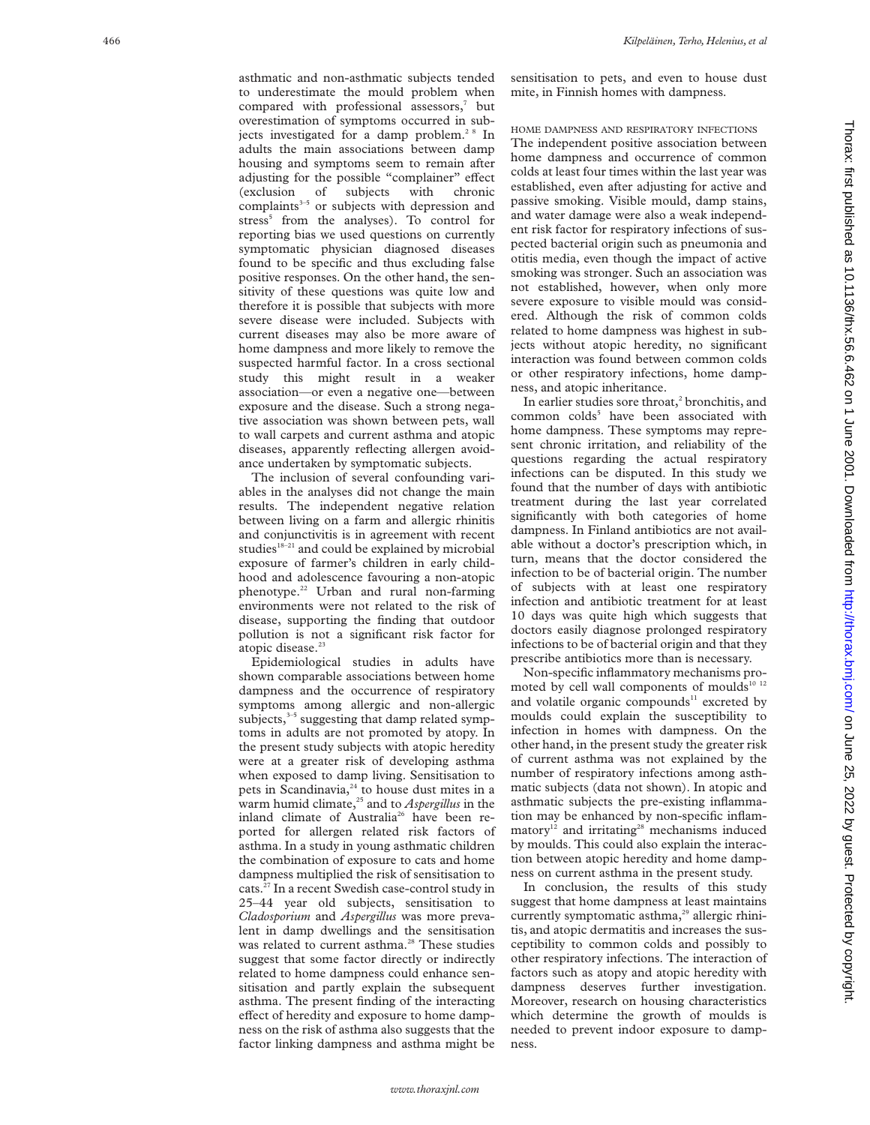asthmatic and non-asthmatic subjects tended to underestimate the mould problem when compared with professional assessors, <sup>7</sup> but overestimation of symptoms occurred in subjects investigated for a damp problem.<sup>28</sup> In adults the main associations between damp housing and symptoms seem to remain after adjusting for the possible "complainer" effect (exclusion of subjects with chronic complaints $3-5$  or subjects with depression and stress<sup>5</sup> from the analyses). To control for reporting bias we used questions on currently symptomatic physician diagnosed diseases found to be specific and thus excluding false positive responses. On the other hand, the sensitivity of these questions was quite low and therefore it is possible that subjects with more severe disease were included. Subjects with current diseases may also be more aware of home dampness and more likely to remove the suspected harmful factor. In a cross sectional study this might result in a weaker association—or even a negative one—between exposure and the disease. Such a strong negative association was shown between pets, wall to wall carpets and current asthma and atopic diseases, apparently reflecting allergen avoidance undertaken by symptomatic subjects.

The inclusion of several confounding variables in the analyses did not change the main results. The independent negative relation between living on a farm and allergic rhinitis and conjunctivitis is in agreement with recent studies<sup>18-21</sup> and could be explained by microbial exposure of farmer's children in early childhood and adolescence favouring a non-atopic phenotype.22 Urban and rural non-farming environments were not related to the risk of disease, supporting the finding that outdoor pollution is not a significant risk factor for atopic disease.<sup>23</sup>

Epidemiological studies in adults have shown comparable associations between home dampness and the occurrence of respiratory symptoms among allergic and non-allergic subjects,<sup>3-5</sup> suggesting that damp related symptoms in adults are not promoted by atopy. In the present study subjects with atopic heredity were at a greater risk of developing asthma when exposed to damp living. Sensitisation to pets in Scandinavia,<sup>24</sup> to house dust mites in a warm humid climate,25 and to *Aspergillus* in the inland climate of Australia<sup>26</sup> have been reported for allergen related risk factors of asthma. In a study in young asthmatic children the combination of exposure to cats and home dampness multiplied the risk of sensitisation to cats.27 In a recent Swedish case-control study in 25–44 year old subjects, sensitisation to *Cladosporium* and *Aspergillus* was more prevalent in damp dwellings and the sensitisation was related to current asthma.<sup>28</sup> These studies suggest that some factor directly or indirectly related to home dampness could enhance sensitisation and partly explain the subsequent asthma. The present finding of the interacting effect of heredity and exposure to home dampness on the risk of asthma also suggests that the factor linking dampness and asthma might be

sensitisation to pets, and even to house dust mite, in Finnish homes with dampness.

HOME DAMPNESS AND RESPIRATORY INFECTIONS The independent positive association between home dampness and occurrence of common colds at least four times within the last year was established, even after adjusting for active and passive smoking. Visible mould, damp stains, and water damage were also a weak independent risk factor for respiratory infections of suspected bacterial origin such as pneumonia and otitis media, even though the impact of active smoking was stronger. Such an association was not established, however, when only more severe exposure to visible mould was considered. Although the risk of common colds related to home dampness was highest in subjects without atopic heredity, no significant interaction was found between common colds or other respiratory infections, home dampness, and atopic inheritance.

In earlier studies sore throat, <sup>2</sup> bronchitis, and common colds <sup>5</sup> have been associated with home dampness. These symptoms may represent chronic irritation, and reliability of the questions regarding the actual respiratory infections can be disputed. In this study we found that the number of days with antibiotic treatment during the last year correlated significantly with both categories of home dampness. In Finland antibiotics are not available without a doctor's prescription which, in turn, means that the doctor considered the infection to be of bacterial origin. The number of subjects with at least one respiratory infection and antibiotic treatment for at least 10 days was quite high which suggests that doctors easily diagnose prolonged respiratory infections to be of bacterial origin and that they prescribe antibiotics more than is necessary.

Non-specific inflammatory mechanisms promoted by cell wall components of moulds<sup>10 12</sup> and volatile organic compounds<sup>11</sup> excreted by moulds could explain the susceptibility to infection in homes with dampness. On the other hand, in the present study the greater risk of current asthma was not explained by the number of respiratory infections among asthmatic subjects (data not shown). In atopic and asthmatic subjects the pre-existing inflammation may be enhanced by non-specific inflam $m$ atory<sup>12</sup> and irritating<sup>28</sup> mechanisms induced by moulds. This could also explain the interaction between atopic heredity and home dampness on current asthma in the present study.

In conclusion, the results of this study suggest that home dampness at least maintains currently symptomatic asthma,<sup>29</sup> allergic rhinitis, and atopic dermatitis and increases the susceptibility to common colds and possibly to other respiratory infections. The interaction of factors such as atopy and atopic heredity with dampness deserves further investigation. Moreover, research on housing characteristics which determine the growth of moulds is needed to prevent indoor exposure to dampness.